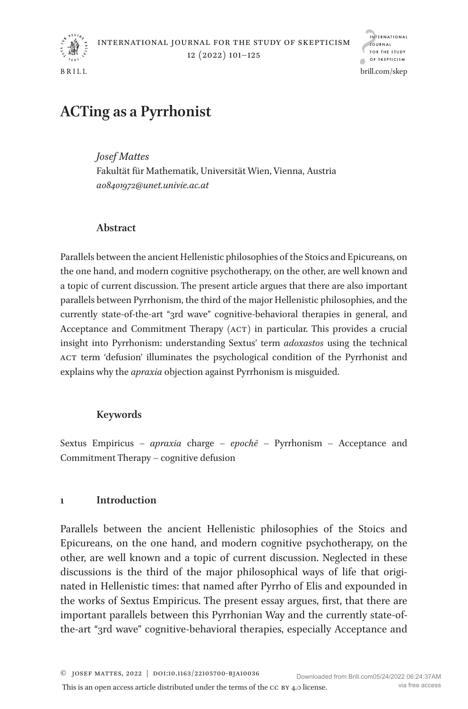

brill.com/skep

# **ACTing as a Pyrrhonist**

*Josef Mattes*  Fakultät für Mathematik, Universität Wien, Vienna, Austria *[a08401972@unet.univie.ac.at](mailto:a08401972@unet.univie.ac.at?subject=)*

# **Abstract**

Parallels between the ancient Hellenistic philosophies of the Stoics and Epicureans, on the one hand, and modern cognitive psychotherapy, on the other, are well known and a topic of current discussion. The present article argues that there are also important parallels between Pyrrhonism, the third of the major Hellenistic philosophies, and the currently state-of-the-art "3rd wave" cognitive-behavioral therapies in general, and Acceptance and Commitment Therapy (act) in particular. This provides a crucial insight into Pyrrhonism: understanding Sextus' term *adoxastos* using the technical act term 'defusion' illuminates the psychological condition of the Pyrrhonist and explains why the *apraxia* objection against Pyrrhonism is misguided.

# **Keywords**

Sextus Empiricus – *apraxia* charge – *epochē* – Pyrrhonism – Acceptance and Commitment Therapy – cognitive defusion

# **1 Introduction**

Parallels between the ancient Hellenistic philosophies of the Stoics and Epicureans, on the one hand, and modern cognitive psychotherapy, on the other, are well known and a topic of current discussion. Neglected in these discussions is the third of the major philosophical ways of life that originated in Hellenistic times: that named after Pyrrho of Elis and expounded in the works of Sextus Empiricus. The present essay argues, first, that there are important parallels between this Pyrrhonian Way and the currently state-ofthe-art "3rd wave" cognitive-behavioral therapies, especially Acceptance and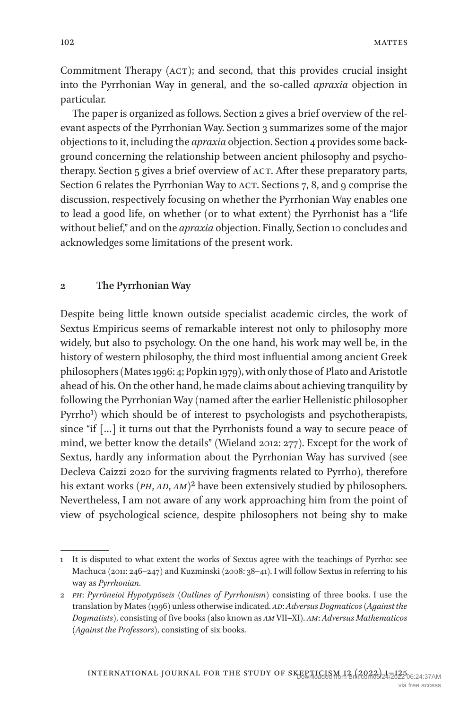Commitment Therapy (ACT); and second, that this provides crucial insight into the Pyrrhonian Way in general, and the so-called *apraxia* objection in particular.

The paper is organized as follows. Section [2](#page-1-0) gives a brief overview of the relevant aspects of the Pyrrhonian Way. Section [3](#page-4-0) summarizes some of the major objections to it, including the *apraxia* objection. Section [4](#page-5-0) provides some background concerning the relationship between ancient philosophy and psycho-therapy. Section [5](#page-8-0) gives a brief overview of ACT. After these preparatory parts, Section [6](#page-10-0) relates the Pyrrhonian Way to ACT. Sections [7,](#page-13-0) [8](#page-16-0), and [9](#page-18-0) comprise the discussion, respectively focusing on whether the Pyrrhonian Way enables one to lead a good life, on whether (or to what extent) the Pyrrhonist has a "life without belief," and on the *apraxia* objection. Finally, Section [10](#page-18-1) concludes and acknowledges some limitations of the present work.

#### <span id="page-1-0"></span>**2 The Pyrrhonian Way**

Despite being little known outside specialist academic circles, the work of Sextus Empiricus seems of remarkable interest not only to philosophy more widely, but also to psychology. On the one hand, his work may well be, in the history of western philosophy, the third most influential among ancient Greek philosophers ([Mates 1996:](#page-23-0) 4; [Popkin 1979](#page-23-1)), with only those of Plato and Aristotle ahead of his. On the other hand, he made claims about achieving tranquility by following the Pyrrhonian Way (named after the earlier Hellenistic philosopher Pyrrho<sup>1</sup>) which should be of interest to psychologists and psychotherapists, since "if […] it turns out that the Pyrrhonists found a way to secure peace of mind, we better know the details" [\(Wieland 2012](#page-24-0): 277). Except for the work of Sextus, hardly any information about the Pyrrhonian Way has survived (see [Decleva Caizzi 2020](#page-21-0) for the surviving fragments related to Pyrrho), therefore his extant works (*PH*, *AD*, *AM*)<sup>[2](#page-1-2)</sup> have been extensively studied by philosophers. Nevertheless, I am not aware of any work approaching him from the point of view of psychological science, despite philosophers not being shy to make

<span id="page-1-1"></span><sup>1</sup> It is disputed to what extent the works of Sextus agree with the teachings of Pyrrho: see [Machuca \(2011:](#page-22-0) 246–247) and [Kuzminski \(2008](#page-22-1): 38–41). I will follow Sextus in referring to his way as *Pyrrhonian*.

<span id="page-1-2"></span><sup>2</sup> *ph*: *Pyrrōneioi Hypotypōseis* (*Outlines of Pyrrhonism*) consisting of three books. I use the translation by [Mates \(1996](#page-23-0)) unless otherwise indicated. *ad*: *Adversus Dogmaticos* (*Against the Dogmatists*), consisting of five books (also known as *am* VII–XI). *am*: *Adversus Mathematicos* (*Against the Professors*), consisting of six books.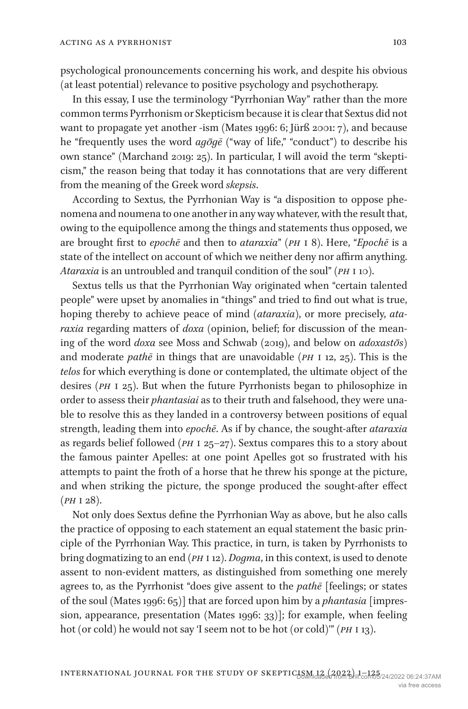psychological pronouncements concerning his work, and despite his obvious (at least potential) relevance to positive psychology and psychotherapy.

In this essay, I use the terminology "Pyrrhonian Way" rather than the more common terms Pyrrhonism or Skepticism because it is clear that Sextus did not want to propagate yet another -ism ([Mates 1996](#page-23-0): 6; [Jürß 2001](#page-22-2): 7), and because he "frequently uses the word  $ag\bar{g}g\bar{e}$  ("way of life," "conduct") to describe his own stance" ([Marchand 2019](#page-23-2): 25). In particular, I will avoid the term "skepticism," the reason being that today it has connotations that are very different from the meaning of the Greek word *skepsis*.

According to Sextus, the Pyrrhonian Way is "a disposition to oppose phenomena and noumena to one another in any way whatever, with the result that, owing to the equipollence among the things and statements thus opposed, we are brought first to *epochē* and then to *ataraxia*" (*ph* i 8). Here, "*Epochē* is a state of the intellect on account of which we neither deny nor affirm anything. *Ataraxia* is an untroubled and tranquil condition of the soul" (*ph* i 10).

Sextus tells us that the Pyrrhonian Way originated when "certain talented people" were upset by anomalies in "things" and tried to find out what is true, hoping thereby to achieve peace of mind (*ataraxia*), or more precisely, *ataraxia* regarding matters of *doxa* (opinion, belief; for discussion of the meaning of the word *doxa* see [Moss and Schwab \(2019\)](#page-23-3), and below on *adoxastōs*) and moderate *pathē* in things that are unavoidable (*ph* i 12, 25). This is the *telos* for which everything is done or contemplated, the ultimate object of the desires (*ph* i 25). But when the future Pyrrhonists began to philosophize in order to assess their *phantasiai* as to their truth and falsehood, they were unable to resolve this as they landed in a controversy between positions of equal strength, leading them into *epochē*. As if by chance, the sought-after *ataraxia* as regards belief followed (*ph* i 25–27). Sextus compares this to a story about the famous painter Apelles: at one point Apelles got so frustrated with his attempts to paint the froth of a horse that he threw his sponge at the picture, and when striking the picture, the sponge produced the sought-after effect (*ph* i 28).

Not only does Sextus define the Pyrrhonian Way as above, but he also calls the practice of opposing to each statement an equal statement the basic principle of the Pyrrhonian Way. This practice, in turn, is taken by Pyrrhonists to bring dogmatizing to an end (*ph* i 12). *Dogma*, in this context, is used to denote assent to non-evident matters, as distinguished from something one merely agrees to, as the Pyrrhonist "does give assent to the *pathē* [feelings; or states of the soul ([Mates 1996:](#page-23-0) 65)] that are forced upon him by a *phantasia* [impression, appearance, presentation [\(Mates 1996:](#page-23-0) 33)]; for example, when feeling hot (or cold) he would not say 'I seem not to be hot (or cold)'" (*ph* i 13).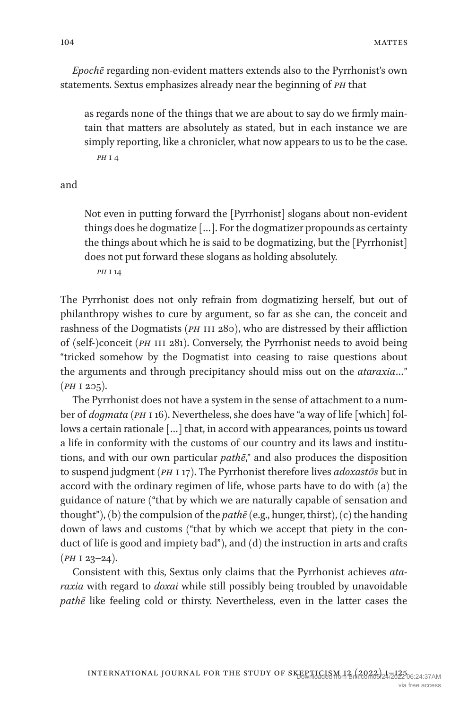*Epochē* regarding non-evident matters extends also to the Pyrrhonist's own statements. Sextus emphasizes already near the beginning of *ph* that

as regards none of the things that we are about to say do we firmly maintain that matters are absolutely as stated, but in each instance we are simply reporting, like a chronicler, what now appears to us to be the case. *ph* i 4

and

Not even in putting forward the [Pyrrhonist] slogans about non-evident things does he dogmatize […]. For the dogmatizer propounds as certainty the things about which he is said to be dogmatizing, but the [Pyrrhonist] does not put forward these slogans as holding absolutely.

*ph* i 14

The Pyrrhonist does not only refrain from dogmatizing herself, but out of philanthropy wishes to cure by argument, so far as she can, the conceit and rashness of the Dogmatists (*PH* III 280), who are distressed by their affliction of (self-)conceit (*PH* III 281). Conversely, the Pyrrhonist needs to avoid being "tricked somehow by the Dogmatist into ceasing to raise questions about the arguments and through precipitancy should miss out on the *ataraxia*…" (*ph* i 205).

The Pyrrhonist does not have a system in the sense of attachment to a number of *dogmata* (*ph* i 16). Nevertheless, she does have "a way of life [which] follows a certain rationale […] that, in accord with appearances, points us toward a life in conformity with the customs of our country and its laws and institutions, and with our own particular *pathē*," and also produces the disposition to suspend judgment (*ph* i 17). The Pyrrhonist therefore lives *adoxastōs* but in accord with the ordinary regimen of life, whose parts have to do with (a) the guidance of nature ("that by which we are naturally capable of sensation and thought"), (b) the compulsion of the *pathē* (e.g., hunger, thirst), (c) the handing down of laws and customs ("that by which we accept that piety in the conduct of life is good and impiety bad"), and (d) the instruction in arts and crafts (*ph* i 23–24).

Consistent with this, Sextus only claims that the Pyrrhonist achieves *ataraxia* with regard to *doxai* while still possibly being troubled by unavoidable *pathē* like feeling cold or thirsty. Nevertheless, even in the latter cases the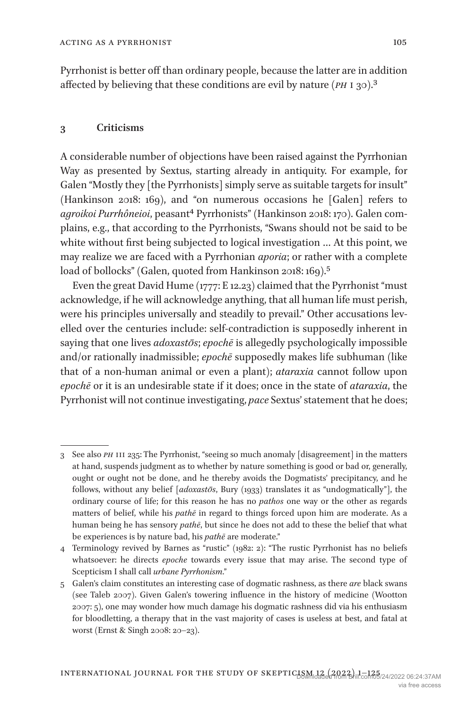Pyrrhonist is better off than ordinary people, because the latter are in addition affected by believing that these conditions are evil by nature (*ph* i 30).[3](#page-4-1)

## <span id="page-4-0"></span>**3 Criticisms**

A considerable number of objections have been raised against the Pyrrhonian Way as presented by Sextus, starting already in antiquity. For example, for Galen "Mostly they [the Pyrrhonists] simply serve as suitable targets for insult" [\(Hankinson 2018:](#page-21-1) 169), and "on numerous occasions he [Galen] refers to *agroikoi Purrhôneioi*, peasan[t4](#page-4-2) Pyrrhonists" ([Hankinson 2018:](#page-21-1) 170). Galen complains, e.g., that according to the Pyrrhonists, "Swans should not be said to be white without first being subjected to logical investigation … At this point, we may realize we are faced with a Pyrrhonian *aporia*; or rather with a complete load of bollocks" (Galen, quoted from [Hankinson 2018:](#page-21-1) 169).<sup>[5](#page-4-3)</sup>

Even the great David Hume ([1777:](#page-21-2) E 12.23) claimed that the Pyrrhonist "must acknowledge, if he will acknowledge anything, that all human life must perish, were his principles universally and steadily to prevail." Other accusations levelled over the centuries include: self-contradiction is supposedly inherent in saying that one lives *adoxastōs*; *epochē* is allegedly psychologically impossible and/or rationally inadmissible; *epochē* supposedly makes life subhuman (like that of a non-human animal or even a plant); *ataraxia* cannot follow upon *epochē* or it is an undesirable state if it does; once in the state of *ataraxia*, the Pyrrhonist will not continue investigating, *pace* Sextus' statement that he does;

<span id="page-4-1"></span><sup>3</sup> See also *ph* iii 235: The Pyrrhonist, "seeing so much anomaly [disagreement] in the matters at hand, suspends judgment as to whether by nature something is good or bad or, generally, ought or ought not be done, and he thereby avoids the Dogmatists' precipitancy, and he follows, without any belief [*adoxastōs*, [Bury \(1933\)](#page-21-3) translates it as "undogmatically"], the ordinary course of life; for this reason he has no *pathos* one way or the other as regards matters of belief, while his *pathē* in regard to things forced upon him are moderate. As a human being he has sensory *pathē*, but since he does not add to these the belief that what be experiences is by nature bad, his *pathē* are moderate."

<span id="page-4-2"></span><sup>4</sup> Terminology revived by Barnes as "rustic" ([1982](#page-20-0): 2): "The rustic Pyrrhonist has no beliefs whatsoever: he directs *epoche* towards every issue that may arise. The second type of Scepticism I shall call *urbane Pyrrhonism*."

<span id="page-4-3"></span><sup>5</sup> Galen's claim constitutes an interesting case of dogmatic rashness, as there *are* black swans (see [Taleb 2007\)](#page-23-4). Given Galen's towering influence in the history of medicine [\(Wootton](#page-24-1)  [2007:](#page-24-1) 5), one may wonder how much damage his dogmatic rashness did via his enthusiasm for bloodletting, a therapy that in the vast majority of cases is useless at best, and fatal at worst ([Ernst & Singh 2008:](#page-21-4) 20–23).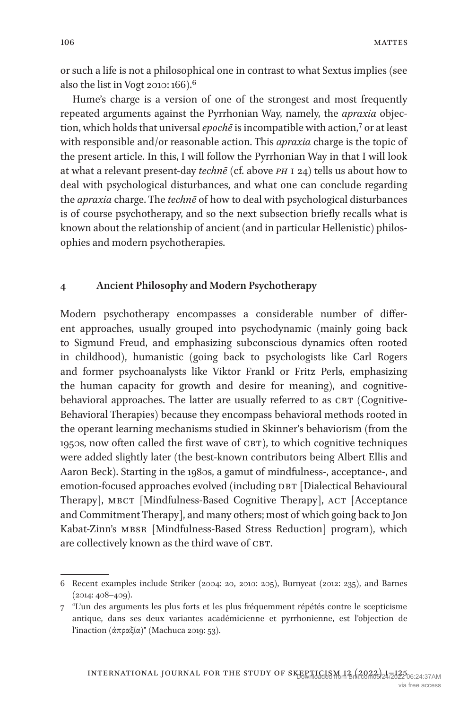or such a life is not a philosophical one in contrast to what Sextus implies (see also the list in [Vogt 2010:](#page-24-2) 166)[.6](#page-5-1)

Hume's charge is a version of one of the strongest and most frequently repeated arguments against the Pyrrhonian Way, namely, the *apraxia* objection, which holds that universal *epochē* is incompatible with action,[7](#page-5-2) or at least with responsible and/or reasonable action. This *apraxia* charge is the topic of the present article. In this, I will follow the Pyrrhonian Way in that I will look at what a relevant present-day *technē* (cf. above *ph* i 24) tells us about how to deal with psychological disturbances, and what one can conclude regarding the *apraxia* charge. The *technē* of how to deal with psychological disturbances is of course psychotherapy, and so the next subsection briefly recalls what is known about the relationship of ancient (and in particular Hellenistic) philosophies and modern psychotherapies.

#### <span id="page-5-0"></span>**4 Ancient Philosophy and Modern Psychotherapy**

Modern psychotherapy encompasses a considerable number of different approaches, usually grouped into psychodynamic (mainly going back to Sigmund Freud, and emphasizing subconscious dynamics often rooted in childhood), humanistic (going back to psychologists like Carl Rogers and former psychoanalysts like Viktor Frankl or Fritz Perls, emphasizing the human capacity for growth and desire for meaning), and cognitivebehavioral approaches. The latter are usually referred to as CBT (Cognitive-Behavioral Therapies) because they encompass behavioral methods rooted in the operant learning mechanisms studied in Skinner's behaviorism (from the 1950s, now often called the first wave of CBT), to which cognitive techniques were added slightly later (the best-known contributors being Albert Ellis and Aaron Beck). Starting in the 1980s, a gamut of mindfulness-, acceptance-, and emotion-focused approaches evolved (including DBT [Dialectical Behavioural Therapy], MBCT [Mindfulness-Based Cognitive Therapy], ACT [Acceptance and Commitment Therapy], and many others; most of which going back to Jon Kabat-Zinn's MBSR [Mindfulness-Based Stress Reduction] program), which are collectively known as the third wave of CBT.

<span id="page-5-1"></span><sup>6</sup> Recent examples include [Striker \(2004](#page-23-5): 20, [2010](#page-23-6): 205), Burnyeat ([2012:](#page-21-5) 235), and [Barnes](#page-20-1)   $(2014: 408 - 409)$  $(2014: 408 - 409)$ .

<span id="page-5-2"></span><sup>7</sup> "L'un des arguments les plus forts et les plus fréquemment répétés contre le scepticisme antique, dans ses deux variantes académicienne et pyrrhonienne, est l'objection de l'inaction (ἀπραξία)" [\(Machuca 2019](#page-22-3): 53).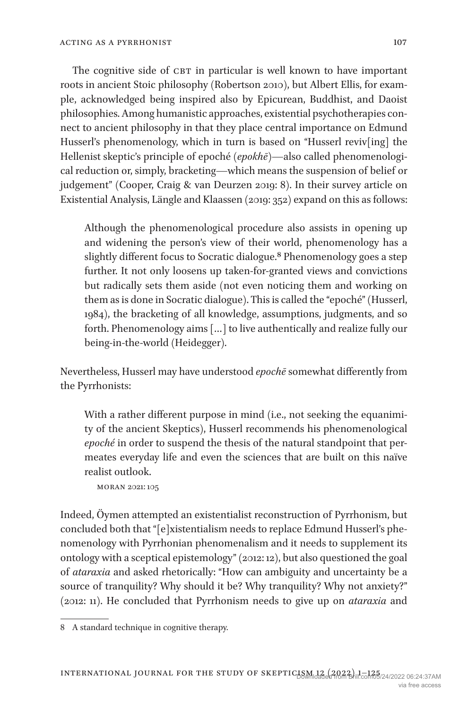The cognitive side of CBT in particular is well known to have important roots in ancient Stoic philosophy [\(Robertson 2010](#page-23-7)), but Albert Ellis, for example, acknowledged being inspired also by Epicurean, Buddhist, and Daoist philosophies. Among humanistic approaches, existential psychotherapies connect to ancient philosophy in that they place central importance on Edmund Husserl's phenomenology, which in turn is based on "Husserl reviv[ing] the Hellenist skeptic's principle of epoché (*epokhē*)—also called phenomenological reduction or, simply, bracketing—which means the suspension of belief or judgement" ([Cooper, Craig & van Deurzen 2019](#page-21-6): 8). In their survey article on Existential Analysis, [Längle and Klaassen \(2019:](#page-22-4) 352) expand on this as follows:

Although the phenomenological procedure also assists in opening up and widening the person's view of their world, phenomenology has a slightly different focus to Socratic dialogue.<sup>8</sup> Phenomenology goes a step further. It not only loosens up taken-for-granted views and convictions but radically sets them aside (not even noticing them and working on them as is done in Socratic dialogue). This is called the "epoché" (Husserl, 1984), the bracketing of all knowledge, assumptions, judgments, and so forth. Phenomenology aims […] to live authentically and realize fully our being-in-the-world (Heidegger).

Nevertheless, Husserl may have understood *epochē* somewhat differently from the Pyrrhonists:

With a rather different purpose in mind (i.e., not seeking the equanimity of the ancient Skeptics), Husserl recommends his phenomenological *epoché* in order to suspend the thesis of the natural standpoint that permeates everyday life and even the sciences that are built on this naïve realist outlook.

moran [2021:](#page-23-8) 105

Indeed, Öymen attempted an existentialist reconstruction of Pyrrhonism, but concluded both that "[e]xistentialism needs to replace Edmund Husserl's phenomenology with Pyrrhonian phenomenalism and it needs to supplement its ontology with a sceptical epistemology" ([2012:](#page-23-9) 12), but also questioned the goal of *ataraxia* and asked rhetorically: "How can ambiguity and uncertainty be a source of tranquility? Why should it be? Why tranquility? Why not anxiety?" [\(2012](#page-23-9): 11). He concluded that Pyrrhonism needs to give up on *ataraxia* and

<span id="page-6-0"></span><sup>8</sup> A standard technique in cognitive therapy.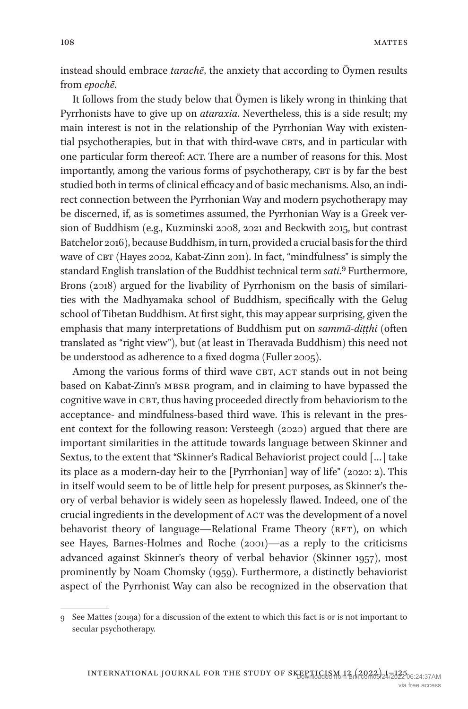instead should embrace *tarachē*, the anxiety that according to Öymen results from *epochē*.

It follows from the study below that Öymen is likely wrong in thinking that Pyrrhonists have to give up on *ataraxia*. Nevertheless, this is a side result; my main interest is not in the relationship of the Pyrrhonian Way with existential psychotherapies, but in that with third-wave CBTs, and in particular with one particular form thereof: ACT. There are a number of reasons for this. Most importantly, among the various forms of psychotherapy, CBT is by far the best studied both in terms of clinical efficacy and of basic mechanisms. Also, an indirect connection between the Pyrrhonian Way and modern psychotherapy may be discerned, if, as is sometimes assumed, the Pyrrhonian Way is a Greek version of Buddhism (e.g., [Kuzminski 2008,](#page-22-1) [2021](#page-22-5) and [Beckwith 2015,](#page-20-2) but contrast [Batchelor 2016\)](#page-20-3), because Buddhism, in turn, provided a crucial basis for the third wave of CBT [\(Hayes 2002,](#page-21-7) [Kabat-Zinn 2011](#page-22-6)). In fact, "mindfulness" is simply the standard English translation of the Buddhist technical term *sati*[.9](#page-7-0) Furthermore, [Brons \(2018\)](#page-20-4) argued for the livability of Pyrrhonism on the basis of similarities with the Madhyamaka school of Buddhism, specifically with the Gelug school of Tibetan Buddhism. At first sight, this may appear surprising, given the emphasis that many interpretations of Buddhism put on *sammā-diṭṭhi* (often translated as "right view"), but (at least in Theravada Buddhism) this need not be understood as adherence to a fixed dogma ([Fuller 2005](#page-21-8)).

Among the various forms of third wave CBT, ACT stands out in not being based on Kabat-Zinn's MBSR program, and in claiming to have bypassed the cognitive wave in CBT, thus having proceeded directly from behaviorism to the acceptance- and mindfulness-based third wave. This is relevant in the present context for the following reason: [Versteegh \(2020\)](#page-24-3) argued that there are important similarities in the attitude towards language between Skinner and Sextus, to the extent that "Skinner's Radical Behaviorist project could […] take its place as a modern-day heir to the [Pyrrhonian] way of life" [\(2020:](#page-24-3) 2). This in itself would seem to be of little help for present purposes, as Skinner's theory of verbal behavior is widely seen as hopelessly flawed. Indeed, one of the crucial ingredients in the development of ACT was the development of a novel behavorist theory of language—Relational Frame Theory (RFT), on which see [Hayes, Barnes-Holmes and Roche \(2001](#page-22-7))—as a reply to the criticisms advanced against Skinner's theory of verbal behavior [\(Skinner 1957\)](#page-23-10), most prominently by Noam [Chomsky \(1959\)](#page-21-9). Furthermore, a distinctly behaviorist aspect of the Pyrrhonist Way can also be recognized in the observation that

<span id="page-7-0"></span><sup>9</sup> See [Mattes \(2019a](#page-23-11)) for a discussion of the extent to which this fact is or is not important to secular psychotherapy.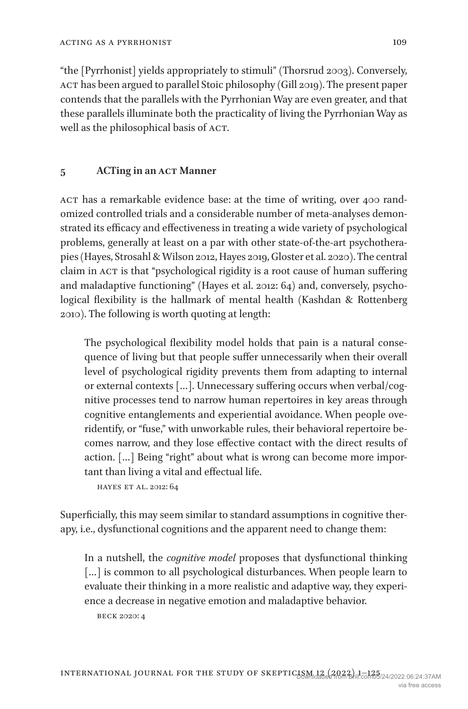"the [Pyrrhonist] yields appropriately to stimuli" ([Thorsrud 2003\)](#page-23-12). Conversely, ACT has been argued to parallel Stoic philosophy [\(Gill 2019](#page-21-10)). The present paper contends that the parallels with the Pyrrhonian Way are even greater, and that these parallels illuminate both the practicality of living the Pyrrhonian Way as well as the philosophical basis of ACT.

## <span id="page-8-0"></span>**5 ACTing in an act Manner**

act has a remarkable evidence base: at the time of writing, over 400 randomized controlled trials and a considerable number of meta-analyses demonstrated its efficacy and effectiveness in treating a wide variety of psychological problems, generally at least on a par with other state-of-the-art psychotherapies ([Hayes, Strosahl & Wilson 2012,](#page-22-8) [Hayes 2019,](#page-22-9) [Gloster et al. 2020](#page-21-11)). The central claim in ACT is that "psychological rigidity is a root cause of human suffering and maladaptive functioning" [\(Hayes et al. 2012:](#page-22-8) 64) and, conversely, psychological flexibility is the hallmark of mental health ([Kashdan & Rottenberg](#page-22-10)  [2010\)](#page-22-10). The following is worth quoting at length:

The psychological flexibility model holds that pain is a natural consequence of living but that people suffer unnecessarily when their overall level of psychological rigidity prevents them from adapting to internal or external contexts […]. Unnecessary suffering occurs when verbal/cognitive processes tend to narrow human repertoires in key areas through cognitive entanglements and experiential avoidance. When people overidentify, or "fuse," with unworkable rules, their behavioral repertoire becomes narrow, and they lose effective contact with the direct results of action. […] Being "right" about what is wrong can become more important than living a vital and effectual life.

hayes et al. [2012:](#page-22-8) 64

Superficially, this may seem similar to standard assumptions in cognitive therapy, i.e., dysfunctional cognitions and the apparent need to change them:

In a nutshell, the *cognitive model* proposes that dysfunctional thinking [...] is common to all psychological disturbances. When people learn to evaluate their thinking in a more realistic and adaptive way, they experience a decrease in negative emotion and maladaptive behavior.

beck [2020:](#page-20-5) 4

109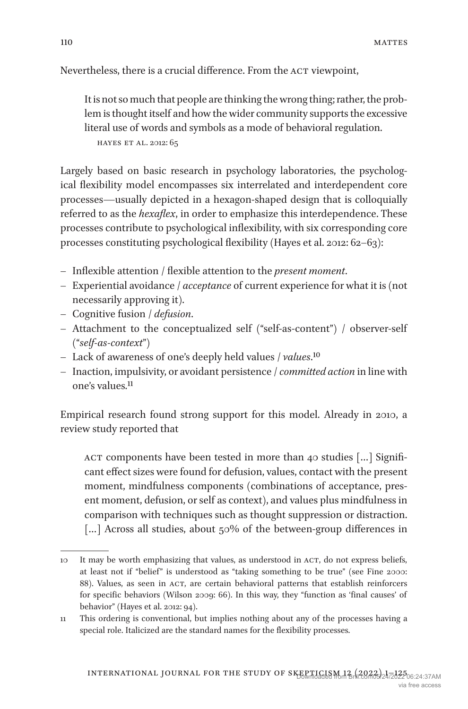Nevertheless, there is a crucial difference. From the ACT viewpoint,

It is not so much that people are thinking the wrong thing; rather, the problem is thought itself and how the wider community supports the excessive literal use of words and symbols as a mode of behavioral regulation. hayes et al. [2012:](#page-22-8) 65

Largely based on basic research in psychology laboratories, the psychological flexibility model encompasses six interrelated and interdependent core processes—usually depicted in a hexagon-shaped design that is colloquially referred to as the *hexaflex*, in order to emphasize this interdependence. These processes contribute to psychological inflexibility, with six corresponding core processes constituting psychological flexibility [\(Hayes et al. 2012](#page-22-8): 62–63):

- Inflexible attention / flexible attention to the *present moment*.
- Experiential avoidance / *acceptance* of current experience for what it is (not necessarily approving it).
- Cognitive fusion / *defusion*.
- Attachment to the conceptualized self ("self-as-content") / observer-self ("*self-as-context*")
- Lack of awareness of one's deeply held values / *values*[.10](#page-9-0)
- Inaction, impulsivity, or avoidant persistence / *committed action* in line with one's values.[11](#page-9-1)

Empirical research found strong support for this model. Already in 2010, a review study reported that

ACT components have been tested in more than 40 studies [...] Significant effect sizes were found for defusion, values, contact with the present moment, mindfulness components (combinations of acceptance, present moment, defusion, or self as context), and values plus mindfulness in comparison with techniques such as thought suppression or distraction. [...] Across all studies, about 50% of the between-group differences in

<span id="page-9-0"></span><sup>10</sup> It may be worth emphasizing that values, as understood in act, do not express beliefs, at least not if "belief" is understood as "taking something to be true" (see [Fine 2000:](#page-21-12) 88). Values, as seen in ACT, are certain behavioral patterns that establish reinforcers for specific behaviors [\(Wilson 2009:](#page-24-4) 66). In this way, they "function as 'final causes' of behavior" ([Hayes et al. 2012:](#page-22-8) 94).

<span id="page-9-1"></span><sup>11</sup> This ordering is conventional, but implies nothing about any of the processes having a special role. Italicized are the standard names for the flexibility processes.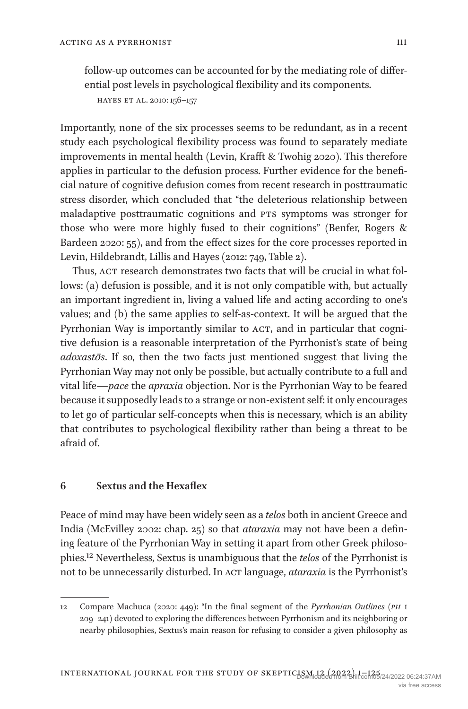follow-up outcomes can be accounted for by the mediating role of differential post levels in psychological flexibility and its components.

hayes et al. [2010](#page-22-11): 156–157

Importantly, none of the six processes seems to be redundant, as in a recent study each psychological flexibility process was found to separately mediate improvements in mental health ([Levin, Krafft & Twohig 2020](#page-22-12)). This therefore applies in particular to the defusion process. Further evidence for the beneficial nature of cognitive defusion comes from recent research in posttraumatic stress disorder, which concluded that "the deleterious relationship between maladaptive posttraumatic cognitions and PTS symptoms was stronger for those who were more highly fused to their cognitions" ([Benfer, Rogers &](#page-20-6)  [Bardeen 2020](#page-20-6): 55), and from the effect sizes for the core processes reported in [Levin, Hildebrandt, Lillis and Hayes \(2012:](#page-22-13) 749, Table 2).

Thus, ACT research demonstrates two facts that will be crucial in what follows: (a) defusion is possible, and it is not only compatible with, but actually an important ingredient in, living a valued life and acting according to one's values; and (b) the same applies to self-as-context. It will be argued that the Pyrrhonian Way is importantly similar to ACT, and in particular that cognitive defusion is a reasonable interpretation of the Pyrrhonist's state of being *adoxastōs*. If so, then the two facts just mentioned suggest that living the Pyrrhonian Way may not only be possible, but actually contribute to a full and vital life—*pace* the *apraxia* objection. Nor is the Pyrrhonian Way to be feared because it supposedly leads to a strange or non-existent self: it only encourages to let go of particular self-concepts when this is necessary, which is an ability that contributes to psychological flexibility rather than being a threat to be afraid of.

#### <span id="page-10-0"></span>**6 Sextus and the Hexaflex**

Peace of mind may have been widely seen as a *telos* both in ancient Greece and India [\(McEvilley 2002](#page-23-13): chap. 25) so that *ataraxia* may not have been a defining feature of the Pyrrhonian Way in setting it apart from other Greek philosophies[.12](#page-10-1) Nevertheless, Sextus is unambiguous that the *telos* of the Pyrrhonist is not to be unnecessarily disturbed. In ACT language, *ataraxia* is the Pyrrhonist's

<span id="page-10-1"></span><sup>12</sup> Compare [Machuca \(2020](#page-22-14): 449): "In the final segment of the *Pyrrhonian Outlines* (*ph* i 209–241) devoted to exploring the differences between Pyrrhonism and its neighboring or nearby philosophies, Sextus's main reason for refusing to consider a given philosophy as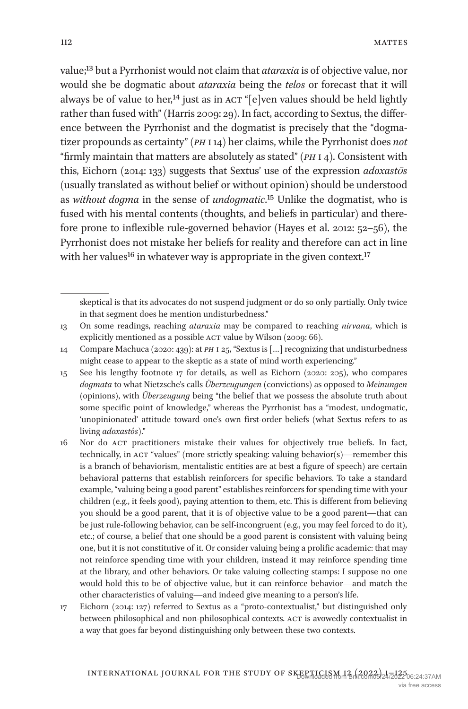value[;13](#page-11-0) but a Pyrrhonist would not claim that *ataraxia* is of objective value, nor would she be dogmatic about *ataraxia* being the *telos* or forecast that it will always be of value to her,<sup>14</sup> just as in ACT "[e]ven values should be held lightly rather than fused with" [\(Harris 2009](#page-21-13): 29). In fact, according to Sextus, the difference between the Pyrrhonist and the dogmatist is precisely that the "dogmatizer propounds as certainty" (*ph* i 14) her claims, while the Pyrrhonist does *not* "firmly maintain that matters are absolutely as stated" (*ph* i 4). Consistent with this, [Eichorn \(2014:](#page-21-14) 133) suggests that Sextus' use of the expression *adoxastōs* (usually translated as without belief or without opinion) should be understood as *without dogma* in the sense of *undogmatic*[.15](#page-11-2) Unlike the dogmatist, who is fused with his mental contents (thoughts, and beliefs in particular) and therefore prone to inflexible rule-governed behavior [\(Hayes et al. 2012:](#page-22-8) 52–56), the Pyrrhonist does not mistake her beliefs for reality and therefore can act in line with her values<sup>[16](#page-11-3)</sup> in whatever way is appropriate in the given context.<sup>17</sup>

skeptical is that its advocates do not suspend judgment or do so only partially. Only twice in that segment does he mention undisturbedness."

<span id="page-11-0"></span><sup>13</sup> On some readings, reaching *ataraxia* may be compared to reaching *nirvana*, which is explicitly mentioned as a possible ACT value by [Wilson \(2009](#page-24-4): 66).

<span id="page-11-1"></span><sup>14</sup> Compare [Machuca \(2020](#page-22-14): 439): at *ph* i 25, "Sextus is […] recognizing that undisturbedness might cease to appear to the skeptic as a state of mind worth experiencing."

<span id="page-11-2"></span><sup>15</sup> See his lengthy footnote 17 for details, as well as [Eichorn \(2020](#page-21-15): 205), who compares *dogmata* to what Nietzsche's calls *Überzeugungen* (convictions) as opposed to *Meinungen* (opinions), with *Überzeugung* being "the belief that we possess the absolute truth about some specific point of knowledge," whereas the Pyrrhonist has a "modest, undogmatic, 'unopinionated' attitude toward one's own first-order beliefs (what Sextus refers to as living *adoxastôs*)."

<span id="page-11-3"></span><sup>16</sup> Nor do act practitioners mistake their values for objectively true beliefs. In fact, technically, in act "values" (more strictly speaking: valuing behavior(s)—remember this is a branch of behaviorism, mentalistic entities are at best a figure of speech) are certain behavioral patterns that establish reinforcers for specific behaviors. To take a standard example, "valuing being a good parent" establishes reinforcers for spending time with your children (e.g., it feels good), paying attention to them, etc. This is different from believing you should be a good parent, that it is of objective value to be a good parent—that can be just rule-following behavior, can be self-incongruent (e.g., you may feel forced to do it), etc.; of course, a belief that one should be a good parent is consistent with valuing being one, but it is not constitutive of it. Or consider valuing being a prolific academic: that may not reinforce spending time with your children, instead it may reinforce spending time at the library, and other behaviors. Or take valuing collecting stamps: I suppose no one would hold this to be of objective value, but it can reinforce behavior—and match the other characteristics of valuing—and indeed give meaning to a person's life.

<span id="page-11-4"></span><sup>17</sup> [Eichorn \(2014](#page-21-14): 127) referred to Sextus as a "proto-contextualist," but distinguished only between philosophical and non-philosophical contexts. ACT is avowedly contextualist in a way that goes far beyond distinguishing only between these two contexts.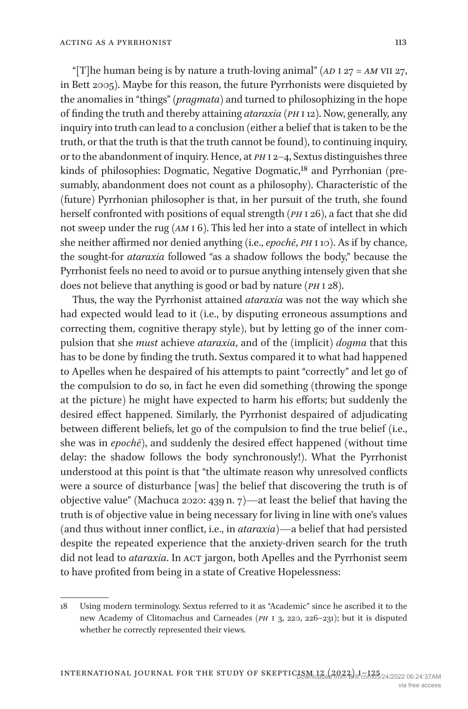"[T]he human being is by nature a truth-loving animal" (*ad* i 27 = *am* vii 27, in [Bett 2005](#page-20-7)). Maybe for this reason, the future Pyrrhonists were disquieted by the anomalies in "things" (*pragmata*) and turned to philosophizing in the hope of finding the truth and thereby attaining *ataraxia* (*ph* i 12). Now, generally, any inquiry into truth can lead to a conclusion (either a belief that is taken to be the truth, or that the truth is that the truth cannot be found), to continuing inquiry, or to the abandonment of inquiry. Hence, at *ph* i 2–4, Sextus distinguishes three kinds of philosophies: Dogmatic, Negative Dogmatic,<sup>18</sup> and Pyrrhonian (presumably, abandonment does not count as a philosophy). Characteristic of the (future) Pyrrhonian philosopher is that, in her pursuit of the truth, she found herself confronted with positions of equal strength (*ph* i 26), a fact that she did not sweep under the rug (*am* i 6). This led her into a state of intellect in which she neither affirmed nor denied anything (i.e., *epochē*, *ph* i 10). As if by chance, the sought-for *ataraxia* followed "as a shadow follows the body," because the Pyrrhonist feels no need to avoid or to pursue anything intensely given that she does not believe that anything is good or bad by nature (*ph* i 28).

Thus, the way the Pyrrhonist attained *ataraxia* was not the way which she had expected would lead to it (i.e., by disputing erroneous assumptions and correcting them, cognitive therapy style), but by letting go of the inner compulsion that she *must* achieve *ataraxia*, and of the (implicit) *dogma* that this has to be done by finding the truth. Sextus compared it to what had happened to Apelles when he despaired of his attempts to paint "correctly" and let go of the compulsion to do so, in fact he even did something (throwing the sponge at the picture) he might have expected to harm his efforts; but suddenly the desired effect happened. Similarly, the Pyrrhonist despaired of adjudicating between different beliefs, let go of the compulsion to find the true belief (i.e., she was in *epochē*), and suddenly the desired effect happened (without time delay: the shadow follows the body synchronously!). What the Pyrrhonist understood at this point is that "the ultimate reason why unresolved conflicts were a source of disturbance [was] the belief that discovering the truth is of objective value" [\(Machuca 2020](#page-22-14): 439 n. 7)—at least the belief that having the truth is of objective value in being necessary for living in line with one's values (and thus without inner conflict, i.e., in *ataraxia*)—a belief that had persisted despite the repeated experience that the anxiety-driven search for the truth did not lead to *ataraxia*. In ACT jargon, both Apelles and the Pyrrhonist seem to have profited from being in a state of Creative Hopelessness:

<span id="page-12-0"></span><sup>18</sup> Using modern terminology. Sextus referred to it as "Academic" since he ascribed it to the new Academy of Clitomachus and Carneades (*ph* i 3, 220, 226–231); but it is disputed whether he correctly represented their views.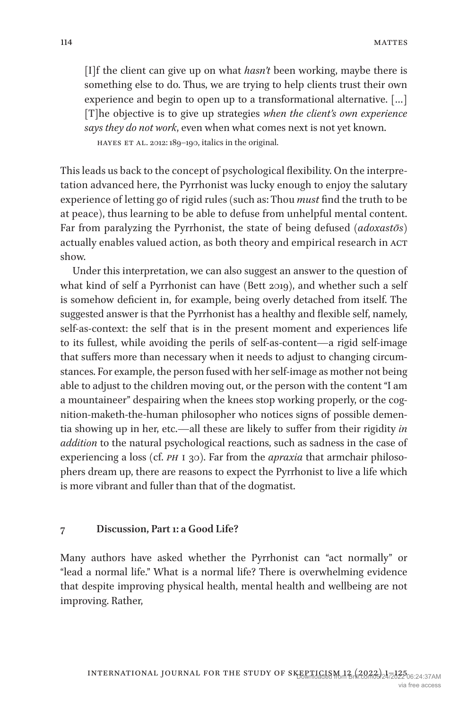[I]f the client can give up on what *hasn't* been working, maybe there is something else to do. Thus, we are trying to help clients trust their own experience and begin to open up to a transformational alternative. […] [T]he objective is to give up strategies *when the client's own experience says they do not work*, even when what comes next is not yet known. hayes et al. [2012:](#page-22-8) 189–190, italics in the original.

This leads us back to the concept of psychological flexibility. On the interpretation advanced here, the Pyrrhonist was lucky enough to enjoy the salutary experience of letting go of rigid rules (such as: Thou *must* find the truth to be at peace), thus learning to be able to defuse from unhelpful mental content. Far from paralyzing the Pyrrhonist, the state of being defused (*adoxastōs*) actually enables valued action, as both theory and empirical research in ACT show.

Under this interpretation, we can also suggest an answer to the question of what kind of self a Pyrrhonist can have (Bett [2019](#page-20-8)), and whether such a self is somehow deficient in, for example, being overly detached from itself. The suggested answer is that the Pyrrhonist has a healthy and flexible self, namely, self-as-context: the self that is in the present moment and experiences life to its fullest, while avoiding the perils of self-as-content—a rigid self-image that suffers more than necessary when it needs to adjust to changing circumstances. For example, the person fused with her self-image as mother not being able to adjust to the children moving out, or the person with the content "I am a mountaineer" despairing when the knees stop working properly, or the cognition-maketh-the-human philosopher who notices signs of possible dementia showing up in her, etc.—all these are likely to suffer from their rigidity *in addition* to the natural psychological reactions, such as sadness in the case of experiencing a loss (cf. *ph* i 30). Far from the *apraxia* that armchair philosophers dream up, there are reasons to expect the Pyrrhonist to live a life which is more vibrant and fuller than that of the dogmatist.

#### <span id="page-13-0"></span>**7 Discussion, Part 1: a Good Life?**

Many authors have asked whether the Pyrrhonist can "act normally" or "lead a normal life." What is a normal life? There is overwhelming evidence that despite improving physical health, mental health and wellbeing are not improving. Rather,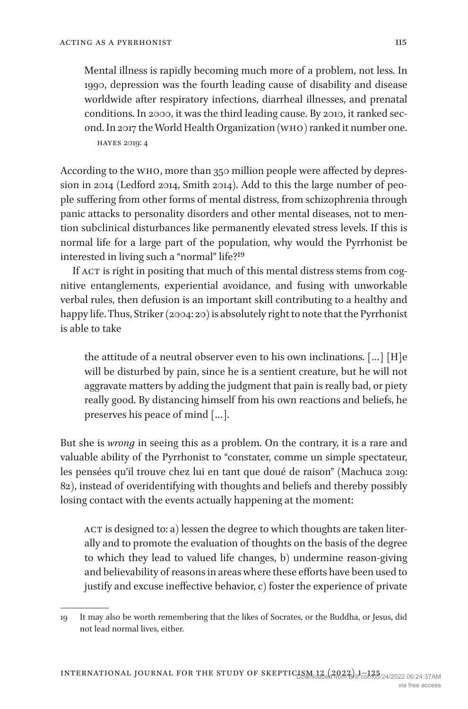Mental illness is rapidly becoming much more of a problem, not less. In 1990, depression was the fourth leading cause of disability and disease worldwide after respiratory infections, diarrheal illnesses, and prenatal conditions. In 2000, it was the third leading cause. By 2010, it ranked second. In 2017 the World Health Organization (who) ranked it number one. hayes [2019](#page-22-9): 4

According to the who, more than 350 million people were affected by depression in 2014 ([Ledford 2014,](#page-22-15) [Smith 2014](#page-23-14)). Add to this the large number of people suffering from other forms of mental distress, from schizophrenia through panic attacks to personality disorders and other mental diseases, not to mention subclinical disturbances like permanently elevated stress levels. If this is normal life for a large part of the population, why would the Pyrrhonist be interested in living such a "normal" life[?19](#page-14-0)

If ACT is right in positing that much of this mental distress stems from cognitive entanglements, experiential avoidance, and fusing with unworkable verbal rules, then defusion is an important skill contributing to a healthy and happy life. Thus, [Striker \(2004](#page-23-5): 20) is absolutely right to note that the Pyrrhonist is able to take

the attitude of a neutral observer even to his own inclinations. […] [H]e will be disturbed by pain, since he is a sentient creature, but he will not aggravate matters by adding the judgment that pain is really bad, or piety really good. By distancing himself from his own reactions and beliefs, he preserves his peace of mind […].

But she is *wrong* in seeing this as a problem. On the contrary, it is a rare and valuable ability of the Pyrrhonist to "constater, comme un simple spectateur, les pensées qu'il trouve chez lui en tant que doué de raison" [\(Machuca 2019](#page-22-3): 82), instead of overidentifying with thoughts and beliefs and thereby possibly losing contact with the events actually happening at the moment:

ACT is designed to: a) lessen the degree to which thoughts are taken literally and to promote the evaluation of thoughts on the basis of the degree to which they lead to valued life changes, b) undermine reason-giving and believability of reasons in areas where these efforts have been used to justify and excuse ineffective behavior, c) foster the experience of private

<span id="page-14-0"></span><sup>19</sup> It may also be worth remembering that the likes of Socrates, or the Buddha, or Jesus, did not lead normal lives, either.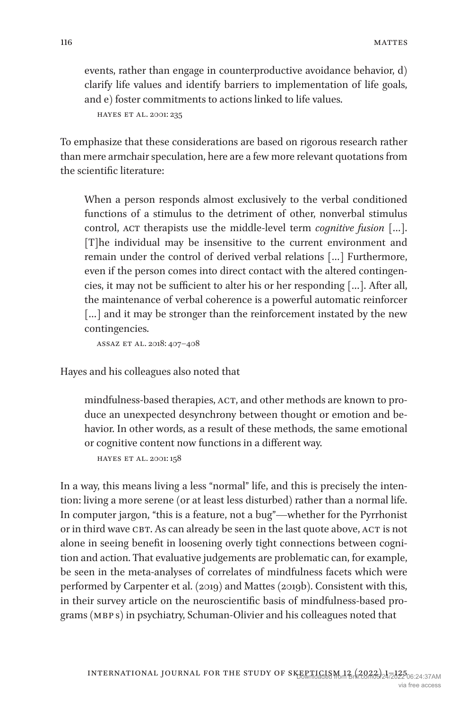events, rather than engage in counterproductive avoidance behavior, d) clarify life values and identify barriers to implementation of life goals, and e) foster commitments to actions linked to life values.

```
hayes et al. 2001: 235
```
To emphasize that these considerations are based on rigorous research rather than mere armchair speculation, here are a few more relevant quotations from the scientific literature:

When a person responds almost exclusively to the verbal conditioned functions of a stimulus to the detriment of other, nonverbal stimulus control, ACT therapists use the middle-level term *cognitive fusion* [...]. [T]he individual may be insensitive to the current environment and remain under the control of derived verbal relations […] Furthermore, even if the person comes into direct contact with the altered contingencies, it may not be sufficient to alter his or her responding […]. After all, the maintenance of verbal coherence is a powerful automatic reinforcer [...] and it may be stronger than the reinforcement instated by the new contingencies.

assaz et al. [2018](#page-20-9): 407–408

Hayes and his colleagues also noted that

mindfulness-based therapies, ACT, and other methods are known to produce an unexpected desynchrony between thought or emotion and behavior. In other words, as a result of these methods, the same emotional or cognitive content now functions in a different way.

hayes et al. [2001](#page-22-7): 158

In a way, this means living a less "normal" life, and this is precisely the intention: living a more serene (or at least less disturbed) rather than a normal life. In computer jargon, "this is a feature, not a bug"—whether for the Pyrrhonist or in third wave CBT. As can already be seen in the last quote above, ACT is not alone in seeing benefit in loosening overly tight connections between cognition and action. That evaluative judgements are problematic can, for example, be seen in the meta-analyses of correlates of mindfulness facets which were performed by [Carpenter et al. \(2019](#page-21-16)) and [Mattes \(2019b](#page-23-15)). Consistent with this, in their survey article on the neuroscientific basis of mindfulness-based programs (MBP s) in psychiatry, Schuman-Olivier and his colleagues noted that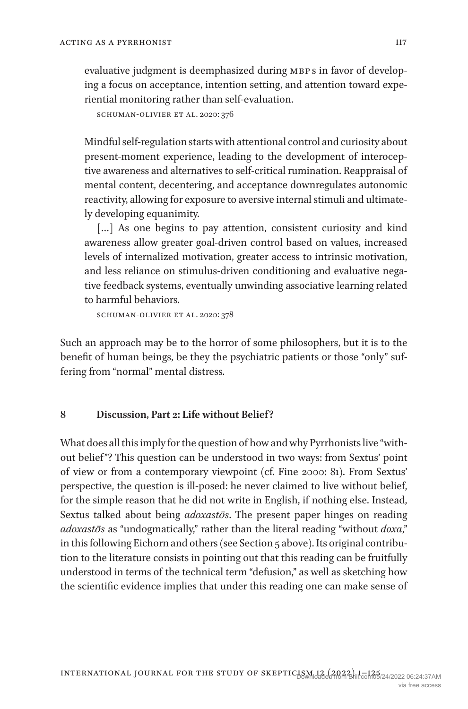evaluative judgment is deemphasized during MBPs in favor of developing a focus on acceptance, intention setting, and attention toward experiential monitoring rather than self-evaluation.

```
schuman-olivier et al. 2020: 376
```
Mindful self-regulation starts with attentional control and curiosity about present-moment experience, leading to the development of interoceptive awareness and alternatives to self-critical rumination. Reappraisal of mental content, decentering, and acceptance downregulates autonomic reactivity, allowing for exposure to aversive internal stimuli and ultimately developing equanimity.

[...] As one begins to pay attention, consistent curiosity and kind awareness allow greater goal-driven control based on values, increased levels of internalized motivation, greater access to intrinsic motivation, and less reliance on stimulus-driven conditioning and evaluative negative feedback systems, eventually unwinding associative learning related to harmful behaviors.

schuman-olivier et al. [2020](#page-23-16): 378

Such an approach may be to the horror of some philosophers, but it is to the benefit of human beings, be they the psychiatric patients or those "only" suffering from "normal" mental distress.

## <span id="page-16-0"></span>**8 Discussion, Part 2: Life without Belief?**

What does all this imply for the question of how and why Pyrrhonists live "without belief"? This question can be understood in two ways: from Sextus' point of view or from a contemporary viewpoint (cf. [Fine 2000:](#page-21-12) 81). From Sextus' perspective, the question is ill-posed: he never claimed to live without belief, for the simple reason that he did not write in English, if nothing else. Instead, Sextus talked about being *adoxastōs*. The present paper hinges on reading *adoxastōs* as "undogmatically," rather than the literal reading "without *doxa*," in this following Eichorn and others (see Section [5](#page-8-0) above). Its original contribution to the literature consists in pointing out that this reading can be fruitfully understood in terms of the technical term "defusion," as well as sketching how the scientific evidence implies that under this reading one can make sense of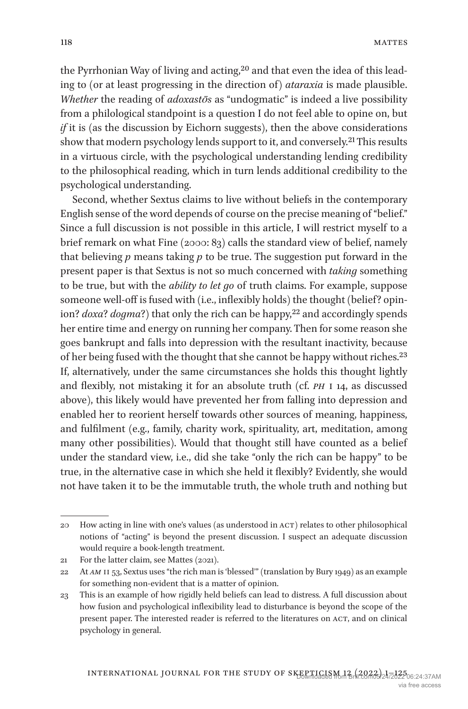the Pyrrhonian Way of living and acting,<sup>20</sup> and that even the idea of this leading to (or at least progressing in the direction of) *ataraxia* is made plausible. *Whether* the reading of *adoxastōs* as "undogmatic" is indeed a live possibility from a philological standpoint is a question I do not feel able to opine on, but *if* it is (as the discussion by Eichorn suggests), then the above considerations show that modern psychology lends support to it, and conversely.[21](#page-17-1) This results in a virtuous circle, with the psychological understanding lending credibility to the philosophical reading, which in turn lends additional credibility to the psychological understanding.

Second, whether Sextus claims to live without beliefs in the contemporary English sense of the word depends of course on the precise meaning of "belief." Since a full discussion is not possible in this article, I will restrict myself to a brief remark on what [Fine \(2000](#page-21-12): 83) calls the standard view of belief, namely that believing *p* means taking *p* to be true. The suggestion put forward in the present paper is that Sextus is not so much concerned with *taking* something to be true, but with the *ability to let go* of truth claims. For example, suppose someone well-off is fused with (i.e., inflexibly holds) the thought (belief? opinion? *doxa*? *dogma*?) that only the rich can be happy,<sup>22</sup> and accordingly spends her entire time and energy on running her company. Then for some reason she goes bankrupt and falls into depression with the resultant inactivity, because of her being fused with the thought that she cannot be happy without riches[.23](#page-17-3) If, alternatively, under the same circumstances she holds this thought lightly and flexibly, not mistaking it for an absolute truth (cf. *ph* i 14, as discussed above), this likely would have prevented her from falling into depression and enabled her to reorient herself towards other sources of meaning, happiness, and fulfilment (e.g., family, charity work, spirituality, art, meditation, among many other possibilities). Would that thought still have counted as a belief under the standard view, i.e., did she take "only the rich can be happy" to be true, in the alternative case in which she held it flexibly? Evidently, she would not have taken it to be the immutable truth, the whole truth and nothing but

<span id="page-17-0"></span><sup>20</sup> How acting in line with one's values (as understood in act) relates to other philosophical notions of "acting" is beyond the present discussion. I suspect an adequate discussion would require a book-length treatment.

<span id="page-17-1"></span><sup>21</sup> For the latter claim, see [Mattes \(2021\)](#page-23-17).

<span id="page-17-2"></span><sup>22</sup> At *am* ii 53, Sextus uses "the rich man is 'blessed'" (translation by [Bury 1949\)](#page-21-17) as an example for something non-evident that is a matter of opinion.

<span id="page-17-3"></span><sup>23</sup> This is an example of how rigidly held beliefs can lead to distress. A full discussion about how fusion and psychological inflexibility lead to disturbance is beyond the scope of the present paper. The interested reader is referred to the literatures on ACT, and on clinical psychology in general.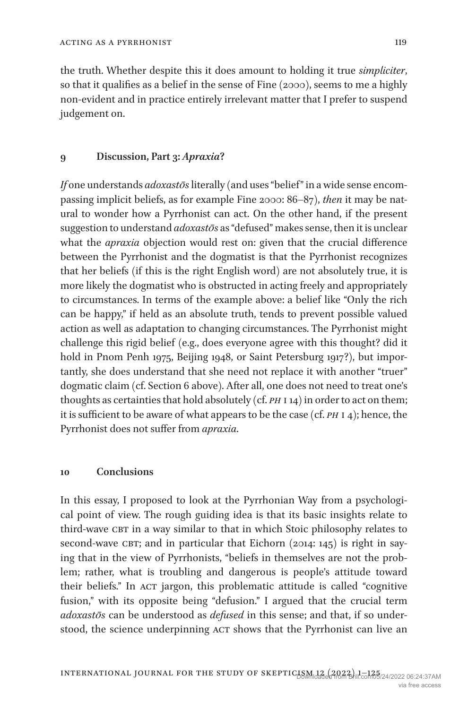the truth. Whether despite this it does amount to holding it true *simpliciter*, so that it qualifies as a belief in the sense of [Fine \(2000\)](#page-21-12), seems to me a highly non-evident and in practice entirely irrelevant matter that I prefer to suspend judgement on.

#### <span id="page-18-0"></span>**9 Discussion, Part 3:** *Apraxia***?**

*If* one understands *adoxastōs* literally (and uses "belief" in a wide sense encompassing implicit beliefs, as for example [Fine 2000:](#page-21-12) 86–87), *then* it may be natural to wonder how a Pyrrhonist can act. On the other hand, if the present suggestion to understand *adoxastōs* as "defused" makes sense, then it is unclear what the *apraxia* objection would rest on: given that the crucial difference between the Pyrrhonist and the dogmatist is that the Pyrrhonist recognizes that her beliefs (if this is the right English word) are not absolutely true, it is more likely the dogmatist who is obstructed in acting freely and appropriately to circumstances. In terms of the example above: a belief like "Only the rich can be happy," if held as an absolute truth, tends to prevent possible valued action as well as adaptation to changing circumstances. The Pyrrhonist might challenge this rigid belief (e.g., does everyone agree with this thought? did it hold in Pnom Penh 1975, Beijing 1948, or Saint Petersburg 1917?), but importantly, she does understand that she need not replace it with another "truer" dogmatic claim (cf. Section [6](#page-10-0) above). After all, one does not need to treat one's thoughts as certainties that hold absolutely (cf. *ph* i 14) in order to act on them; it is sufficient to be aware of what appears to be the case (cf. *ph* i 4); hence, the Pyrrhonist does not suffer from *apraxia*.

## <span id="page-18-1"></span>**10 Conclusions**

In this essay, I proposed to look at the Pyrrhonian Way from a psychological point of view. The rough guiding idea is that its basic insights relate to third-wave CBT in a way similar to that in which Stoic philosophy relates to second-wave CBT; and in particular that Eichorn  $(2014: 145)$  is right in saying that in the view of Pyrrhonists, "beliefs in themselves are not the problem; rather, what is troubling and dangerous is people's attitude toward their beliefs." In ACT jargon, this problematic attitude is called "cognitive fusion," with its opposite being "defusion." I argued that the crucial term *adoxastōs* can be understood as *defused* in this sense; and that, if so understood, the science underpinning ACT shows that the Pyrrhonist can live an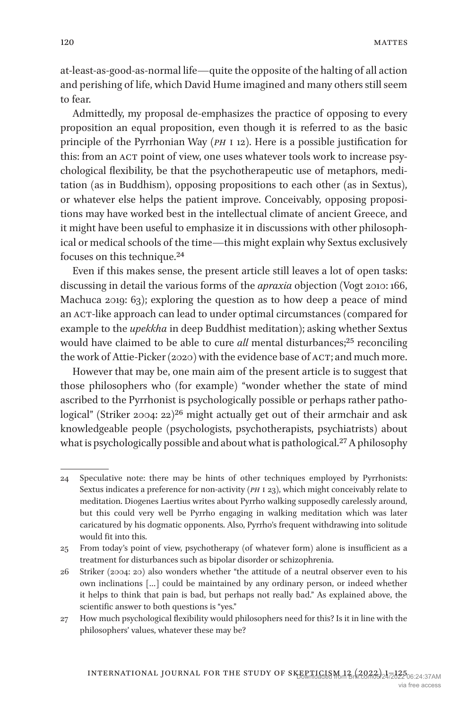at-least-as-good-as-normal life—quite the opposite of the halting of all action and perishing of life, which David Hume imagined and many others still seem to fear.

Admittedly, my proposal de-emphasizes the practice of opposing to every proposition an equal proposition, even though it is referred to as the basic principle of the Pyrrhonian Way (*ph* i 12). Here is a possible justification for this: from an ACT point of view, one uses whatever tools work to increase psychological flexibility, be that the psychotherapeutic use of metaphors, meditation (as in Buddhism), opposing propositions to each other (as in Sextus), or whatever else helps the patient improve. Conceivably, opposing propositions may have worked best in the intellectual climate of ancient Greece, and it might have been useful to emphasize it in discussions with other philosophical or medical schools of the time—this might explain why Sextus exclusively focuses on this technique.[24](#page-19-0)

Even if this makes sense, the present article still leaves a lot of open tasks: discussing in detail the various forms of the *apraxia* objection [\(Vogt 2010](#page-24-2): 166, [Machuca 2019](#page-22-3): 63); exploring the question as to how deep a peace of mind an ACT-like approach can lead to under optimal circumstances (compared for example to the *upekkha* in deep Buddhist meditation); asking whether Sextus would have claimed to be able to cure *all* mental disturbances;<sup>25</sup> reconciling the work of [Attie-Picker \(2020](#page-20-10)) with the evidence base of ACT; and much more.

However that may be, one main aim of the present article is to suggest that those philosophers who (for example) "wonder whether the state of mind ascribed to the Pyrrhonist is psychologically possible or perhaps rather patho-logical" [\(Striker 2004:](#page-23-5)  $22^{26}$  might actually get out of their armchair and ask knowledgeable people (psychologists, psychotherapists, psychiatrists) about what is psychologically possible and about what is pathological.<sup>[27](#page-19-3)</sup> A philosophy

<span id="page-19-0"></span><sup>24</sup> Speculative note: there may be hints of other techniques employed by Pyrrhonists: Sextus indicates a preference for non-activity (*ph* i 23), which might conceivably relate to meditation. Diogenes Laertius writes about Pyrrho walking supposedly carelessly around, but this could very well be Pyrrho engaging in walking meditation which was later caricatured by his dogmatic opponents. Also, Pyrrho's frequent withdrawing into solitude would fit into this.

<span id="page-19-1"></span><sup>25</sup> From today's point of view, psychotherapy (of whatever form) alone is insufficient as a treatment for disturbances such as bipolar disorder or schizophrenia.

<span id="page-19-2"></span><sup>26</sup> [Striker \(2004](#page-23-5): 20) also wonders whether "the attitude of a neutral observer even to his own inclinations […] could be maintained by any ordinary person, or indeed whether it helps to think that pain is bad, but perhaps not really bad." As explained above, the scientific answer to both questions is "yes."

<span id="page-19-3"></span><sup>27</sup> How much psychological flexibility would philosophers need for this? Is it in line with the philosophers' values, whatever these may be?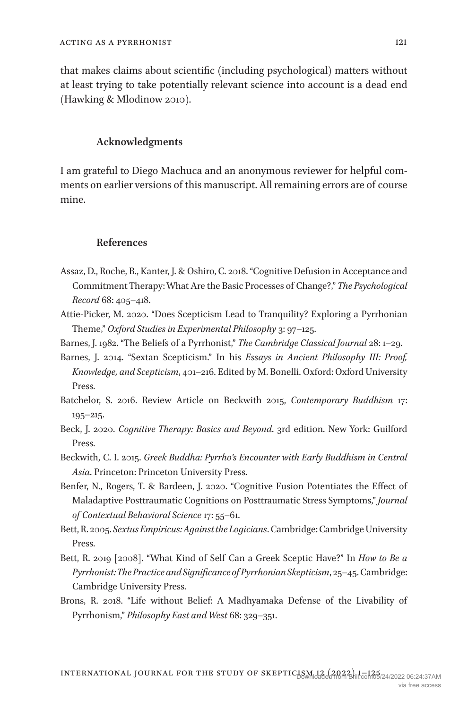that makes claims about scientific (including psychological) matters without at least trying to take potentially relevant science into account is a dead end [\(Hawking & Mlodinow 2010\)](#page-21-18).

## **Acknowledgments**

I am grateful to Diego Machuca and an anonymous reviewer for helpful comments on earlier versions of this manuscript. All remaining errors are of course mine.

#### **References**

- <span id="page-20-9"></span>Assaz, D., Roche, B., Kanter, J. & Oshiro, C. 2018. "Cognitive Defusion in Acceptance and Commitment Therapy: What Are the Basic Processes of Change?," *The Psychological Record* 68: 405–418.
- <span id="page-20-10"></span>Attie-Picker, M. 2020. "Does Scepticism Lead to Tranquility? Exploring a Pyrrhonian Theme," *Oxford Studies in Experimental Philosophy* 3: 97–125.
- <span id="page-20-0"></span>Barnes, J. 1982. "The Beliefs of a Pyrrhonist," *The Cambridge Classical Journal* 28: 1–29.
- <span id="page-20-1"></span>Barnes, J. 2014. "Sextan Scepticism." In his *Essays in Ancient Philosophy III: Proof, Knowledge, and Scepticism*, 401–216. Edited by M. Bonelli. Oxford: Oxford University Press.
- <span id="page-20-3"></span>Batchelor, S. 2016. Review Article on Beckwith 2015, *Contemporary Buddhism* 17: 195–215.
- <span id="page-20-5"></span>Beck, J. 2020. *Cognitive Therapy: Basics and Beyond*. 3rd edition. New York: Guilford Press.
- <span id="page-20-2"></span>Beckwith, C. I. 2015. *Greek Buddha: Pyrrho's Encounter with Early Buddhism in Central Asia*. Princeton: Princeton University Press.
- <span id="page-20-6"></span>Benfer, N., Rogers, T. & Bardeen, J. 2020. "Cognitive Fusion Potentiates the Effect of Maladaptive Posttraumatic Cognitions on Posttraumatic Stress Symptoms," *Journal of Contextual Behavioral Science* 17: 55–61.
- <span id="page-20-7"></span>Bett, R. 2005. *Sextus Empiricus: Against the Logicians*. Cambridge: Cambridge University Press.
- <span id="page-20-8"></span>Bett, R. 2019 [2008]. "What Kind of Self Can a Greek Sceptic Have?" In *How to Be a Pyrrhonist: The Practice and Significance of Pyrrhonian Skepticism*, 25–45. Cambridge: Cambridge University Press.
- <span id="page-20-4"></span>Brons, R. 2018. "Life without Belief: A Madhyamaka Defense of the Livability of Pyrrhonism," *Philosophy East and West* 68: 329–351.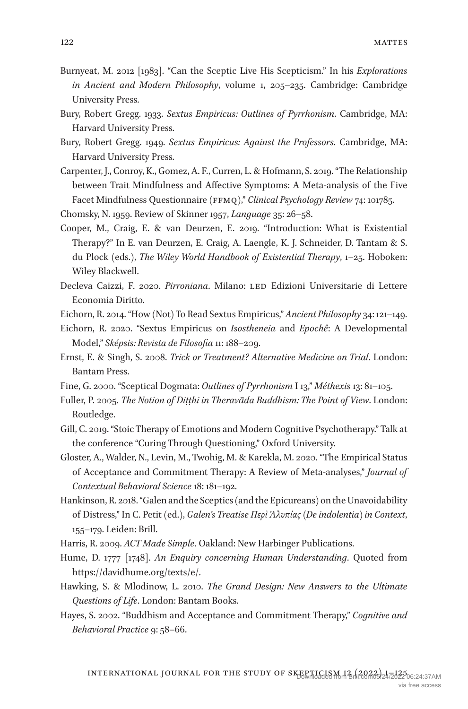- <span id="page-21-5"></span>Burnyeat, M. 2012 [1983]. "Can the Sceptic Live His Scepticism." In his *Explorations in Ancient and Modern Philosophy*, volume 1, 205–235. Cambridge: Cambridge University Press.
- <span id="page-21-3"></span>Bury, Robert Gregg. 1933. *Sextus Empiricus: Outlines of Pyrrhonism*. Cambridge, MA: Harvard University Press.
- <span id="page-21-17"></span>Bury, Robert Gregg. 1949. *Sextus Empiricus: Against the Professors*. Cambridge, MA: Harvard University Press.
- <span id="page-21-16"></span>Carpenter, J., Conroy, K., Gomez, A. F., Curren, L. & Hofmann, S. 2019. "The Relationship between Trait Mindfulness and Affective Symptoms: A Meta-analysis of the Five Facet Mindfulness Questionnaire (ffmq)," *Clinical Psychology Review* 74: 101785.
- <span id="page-21-9"></span>Chomsky, N. 1959. Review of Skinner 1957, *Language* 35: 26–58.
- <span id="page-21-6"></span>Cooper, M., Craig, E. & van Deurzen, E. 2019. "Introduction: What is Existential Therapy?" In E. van Deurzen, E. Craig, A. Laengle, K. J. Schneider, D. Tantam & S. du Plock (eds.), *The Wiley World Handbook of Existential Therapy*, 1–25. Hoboken: Wiley Blackwell.
- <span id="page-21-0"></span>Decleva Caizzi, F. 2020. *Pirroniana*. Milano: LED Edizioni Universitarie di Lettere Economia Diritto.
- <span id="page-21-14"></span>Eichorn, R. 2014. "How (Not) To Read Sextus Empiricus," *Ancient Philosophy* 34: 121–149.
- <span id="page-21-15"></span>Eichorn, R. 2020. "Sextus Empiricus on *Isostheneia* and *Epochê*: A Developmental Model," *Sképsis: Revista de Filosofia* 11: 188–209.
- <span id="page-21-4"></span>Ernst, E. & Singh, S. 2008. *Trick or Treatment? Alternative Medicine on Trial*. London: Bantam Press.
- <span id="page-21-12"></span>Fine, G. 2000. "Sceptical Dogmata: *Outlines of Pyrrhonism* I 13," *Méthexis* 13: 81–105.
- <span id="page-21-8"></span>Fuller, P. 2005. *The Notion of Diṭṭhi in Theravāda Buddhism: The Point of View*. London: Routledge.
- <span id="page-21-10"></span>Gill, C. 2019. "Stoic Therapy of Emotions and Modern Cognitive Psychotherapy." Talk at the conference "Curing Through Questioning," Oxford University.
- <span id="page-21-11"></span>Gloster, A., Walder, N., Levin, M., Twohig, M. & Karekla, M. 2020. "The Empirical Status of Acceptance and Commitment Therapy: A Review of Meta-analyses," *Journal of Contextual Behavioral Science* 18: 181–192.
- <span id="page-21-1"></span>Hankinson, R. 2018. "Galen and the Sceptics (and the Epicureans) on the Unavoidability of Distress," In C. Petit (ed.), *Galen's Treatise Περὶ Ἀλυπίας (De indolentia) in Context*, 155–179. Leiden: Brill.

<span id="page-21-13"></span>Harris, R. 2009. *ACT Made Simple*. Oakland: New Harbinger Publications.

- <span id="page-21-2"></span>Hume, D. 1777 [1748]. *An Enquiry concerning Human Understanding*. Quoted from [https://davidhume.org/texts/e/.](https://davidhume.org/texts/e/)
- <span id="page-21-18"></span>Hawking, S. & Mlodinow, L. 2010. *The Grand Design: New Answers to the Ultimate Questions of Life*. London: Bantam Books.
- <span id="page-21-7"></span>Hayes, S. 2002. "Buddhism and Acceptance and Commitment Therapy," *Cognitive and Behavioral Practice* 9: 58–66.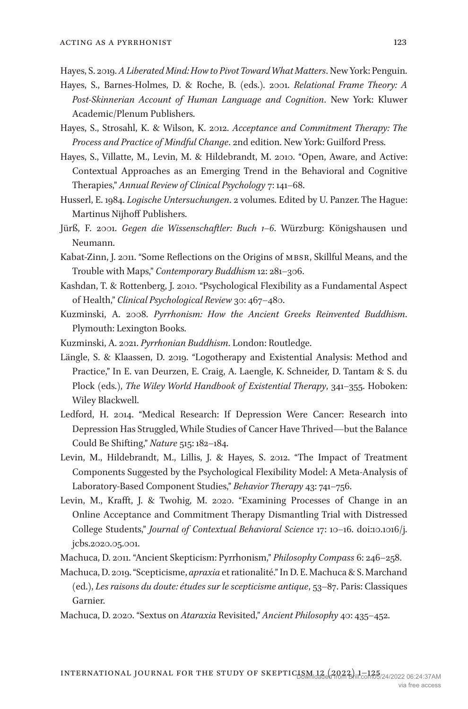<span id="page-22-9"></span>Hayes, S. 2019. *A Liberated Mind: How to Pivot Toward What Matters*. New York: Penguin.

- <span id="page-22-7"></span>Hayes, S., Barnes-Holmes, D. & Roche, B. (eds.). 2001. *Relational Frame Theory: A Post-Skinnerian Account of Human Language and Cognition*. New York: Kluwer Academic/Plenum Publishers.
- <span id="page-22-8"></span>Hayes, S., Strosahl, K. & Wilson, K. 2012. *Acceptance and Commitment Therapy: The Process and Practice of Mindful Change*. 2nd edition. New York: Guilford Press.
- <span id="page-22-11"></span>Hayes, S., Villatte, M., Levin, M. & Hildebrandt, M. 2010. "Open, Aware, and Active: Contextual Approaches as an Emerging Trend in the Behavioral and Cognitive Therapies," *Annual Review of Clinical Psychology* 7: 141–68.
- Husserl, E. 1984. *Logische Untersuchungen*. 2 volumes. Edited by U. Panzer. The Hague: Martinus Nijhoff Publishers.
- <span id="page-22-2"></span>Jürß, F. 2001. *Gegen die Wissenschaftler: Buch 1–6*. Würzburg: Königshausen und Neumann.
- <span id="page-22-6"></span>Kabat-Zinn, J. 2011. "Some Reflections on the Origins of mbsr, Skillful Means, and the Trouble with Maps," *Contemporary Buddhism* 12: 281–306.
- <span id="page-22-10"></span>Kashdan, T. & Rottenberg, J. 2010. "Psychological Flexibility as a Fundamental Aspect of Health," *Clinical Psychological Review* 30: 467–480.
- <span id="page-22-1"></span>Kuzminski, A. 2008. *Pyrrhonism: How the Ancient Greeks Reinvented Buddhism*. Plymouth: Lexington Books.
- <span id="page-22-5"></span>Kuzminski, A. 2021. *Pyrrhonian Buddhism*. London: Routledge.
- <span id="page-22-4"></span>Längle, S. & Klaassen, D. 2019. "Logotherapy and Existential Analysis: Method and Practice," In E. van Deurzen, E. Craig, A. Laengle, K. Schneider, D. Tantam & S. du Plock (eds.), *The Wiley World Handbook of Existential Therapy*, 341–355. Hoboken: Wiley Blackwell.
- <span id="page-22-15"></span>Ledford, H. 2014. "Medical Research: If Depression Were Cancer: Research into Depression Has Struggled, While Studies of Cancer Have Thrived—but the Balance Could Be Shifting," *Nature* 515: 182–184.
- <span id="page-22-13"></span>Levin, M., Hildebrandt, M., Lillis, J. & Hayes, S. 2012. "The Impact of Treatment Components Suggested by the Psychological Flexibility Model: A Meta-Analysis of Laboratory-Based Component Studies," *Behavior Therapy* 43: 741–756.
- <span id="page-22-12"></span>Levin, M., Krafft, J. & Twohig, M. 2020. "Examining Processes of Change in an Online Acceptance and Commitment Therapy Dismantling Trial with Distressed College Students," *Journal of Contextual Behavioral Science* 17: 10–16. doi:10.1016/j. jcbs.2020.05.001.
- <span id="page-22-0"></span>Machuca, D. 2011. "Ancient Skepticism: Pyrrhonism," *Philosophy Compass* 6: 246–258.

<span id="page-22-3"></span>Machuca, D. 2019. "Scepticisme, *apraxia* et rationalité." In D. E. Machuca & S. Marchand (ed.), *Les raisons du doute: études sur le scepticisme antique*, 53–87. Paris: Classiques Garnier.

<span id="page-22-14"></span>Machuca, D. 2020. "Sextus on *Ataraxia* Revisited," *Ancient Philosophy* 40: 435–452.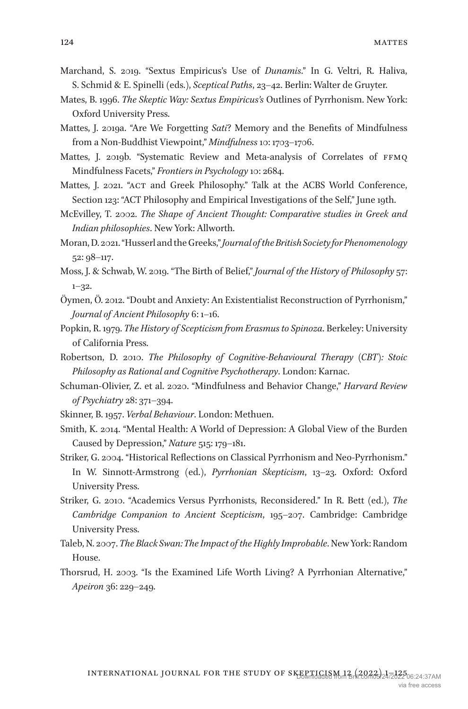- <span id="page-23-2"></span>Marchand, S. 2019. "Sextus Εmpiricus's Use of *Dunamis*." In G. Veltri, R. Haliva, S. Schmid & E. Spinelli (eds.), *Sceptical Paths*, 23–42. Berlin: Walter de Gruyter.
- <span id="page-23-0"></span>Mates, B. 1996. *The Skeptic Way: Sextus Empiricus's* Outlines of Pyrrhonism. New York: Oxford University Press.
- <span id="page-23-11"></span>Mattes, J. 2019a. "Are We Forgetting *Sati*? Memory and the Benefits of Mindfulness from a Non-Buddhist Viewpoint," *Mindfulness* 10: 1703–1706.
- <span id="page-23-15"></span>Mattes, J. 2019b. "Systematic Review and Meta-analysis of Correlates of FFMQ Mindfulness Facets," *Frontiers in Psychology* 10: 2684.
- <span id="page-23-17"></span>Mattes, J. 2021. "act and Greek Philosophy." Talk at the ACBS World Conference, Section 123: "ACT Philosophy and Empirical Investigations of the Self," June 19th.
- <span id="page-23-13"></span>McEvilley, T. 2002. *The Shape of Ancient Thought: Comparative studies in Greek and Indian philosophies*. New York: Allworth.
- <span id="page-23-8"></span>Moran, D. 2021. "Husserl and the Greeks," *Journal of the British Society for Phenomenology* 52: 98–117.
- <span id="page-23-3"></span>Moss, J. & Schwab, W. 2019. "The Birth of Belief," *Journal of the History of Philosophy* 57: 1–32.
- <span id="page-23-9"></span>Öymen, Ö. 2012. "Doubt and Anxiety: An Existentialist Reconstruction of Pyrrhonism," *Journal of Ancient Philosophy* 6: 1–16.
- <span id="page-23-1"></span>Popkin, R. 1979. *The History of Scepticism from Erasmus to Spinoza*. Berkeley: University of California Press.
- <span id="page-23-7"></span>Robertson, D. 2010. *The Philosophy of Cognitive-Behavioural Therapy (CBT): Stoic Philosophy as Rational and Cognitive Psychotherapy*. London: Karnac.
- <span id="page-23-16"></span>Schuman-Olivier, Z. et al. 2020. "Mindfulness and Behavior Change," *Harvard Review of Psychiatry* 28: 371–394.
- <span id="page-23-10"></span>Skinner, B. 1957. *Verbal Behaviour*. London: Methuen.
- <span id="page-23-14"></span>Smith, K. 2014. "Mental Health: A World of Depression: A Global View of the Burden Caused by Depression," *Nature* 515: 179–181.
- <span id="page-23-5"></span>Striker, G. 2004. "Historical Reflections on Classical Pyrrhonism and Neo-Pyrrhonism." In W. Sinnott-Armstrong (ed.), *Pyrrhonian Skepticism*, 13–23. Oxford: Oxford University Press.
- <span id="page-23-6"></span>Striker, G. 2010. "Academics Versus Pyrrhonists, Reconsidered." In R. Bett (ed.), *The Cambridge Companion to Ancient Scepticism*, 195–207. Cambridge: Cambridge University Press.
- <span id="page-23-4"></span>Taleb, N. 2007. *The Black Swan: The Impact of the Highly Improbable*. New York: Random House.
- <span id="page-23-12"></span>Thorsrud, H. 2003. "Is the Examined Life Worth Living? A Pyrrhonian Alternative," *Apeiron* 36: 229–249.